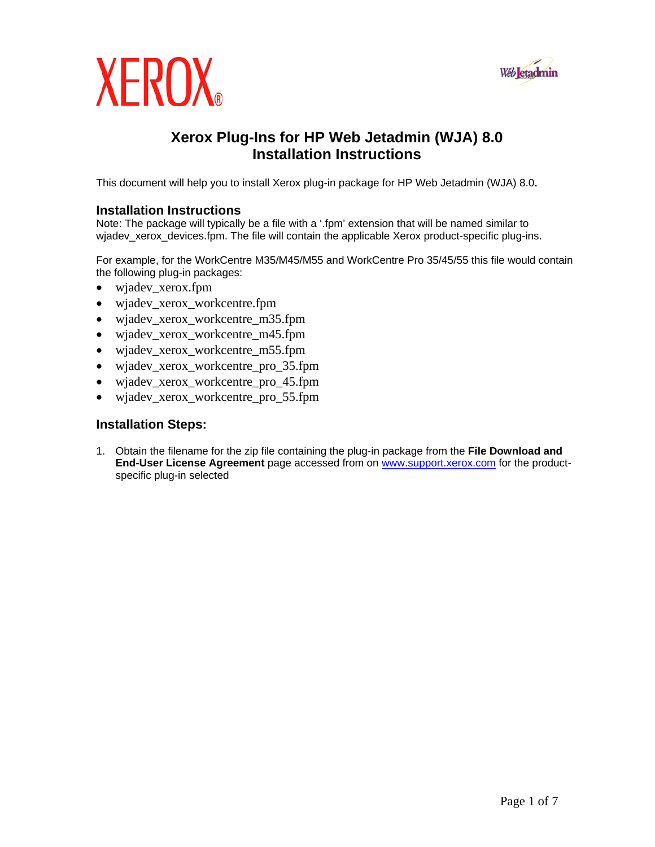

## **XEROX**

### **Xerox Plug-Ins for HP Web Jetadmin (WJA) 8.0 Installation Instructions**

This document will help you to install Xerox plug-in package for HP Web Jetadmin (WJA) 8.0.

#### **Installation Instructions**

Note: The package will typically be a file with a '.fpm' extension that will be named similar to wjadev\_xerox\_devices.fpm. The file will contain the applicable Xerox product-specific plug-ins.

For example, for the WorkCentre M35/M45/M55 and WorkCentre Pro 35/45/55 this file would contain the following plug-in packages:

- wjadev\_xerox.fpm
- wjadev\_xerox\_workcentre.fpm
- wjadev\_xerox\_workcentre\_m35.fpm
- wjadev\_xerox\_workcentre\_m45.fpm
- wjadev\_xerox\_workcentre\_m55.fpm
- wjadev\_xerox\_workcentre\_pro\_35.fpm
- wjadev\_xerox\_workcentre\_pro\_45.fpm
- wjadev\_xerox\_workcentre\_pro\_55.fpm

#### **Installation Steps:**

1. Obtain the filename for the zip file containing the plug-in package from the **File Download and End-User License Agreement** page accessed from on [www.support.xerox.com](http://www.support.xerox.com/) for the productspecific plug-in selected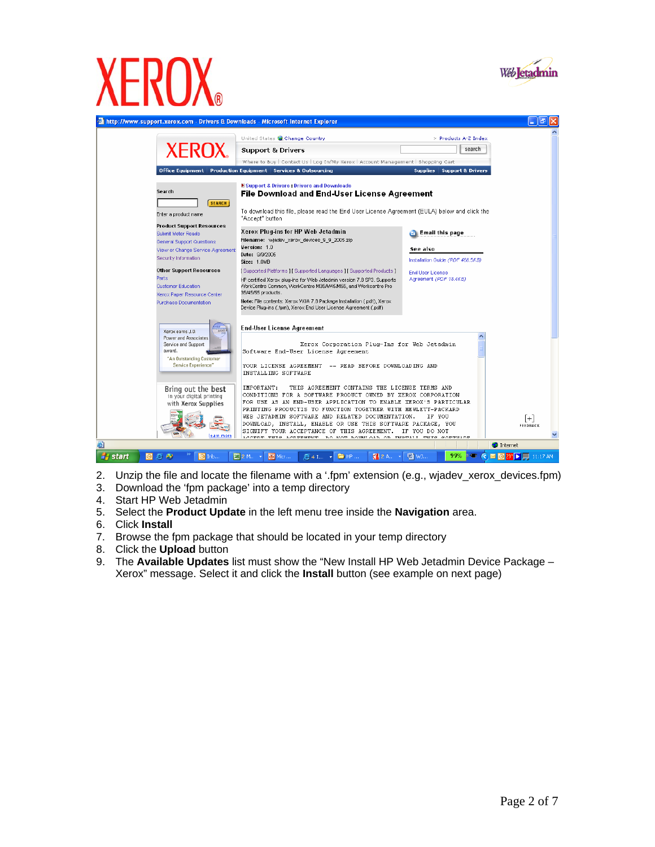

# $\overline{\phantom{a}}$



- 2. Unzip the file and locate the filename with a '.fpm' extension (e.g., wjadev\_xerox\_devices.fpm)
- 3. Download the 'fpm package' into a temp directory
- 4. Start HP Web Jetadmin
- 5. Select the **Product Update** in the left menu tree inside the **Navigation** area.
- 6. Click **Install**
- 7. Browse the fpm package that should be located in your temp directory
- 8. Click the **Upload** button
- 9. The **Available Updates** list must show the "New Install HP Web Jetadmin Device Package Xerox" message. Select it and click the **Install** button (see example on next page)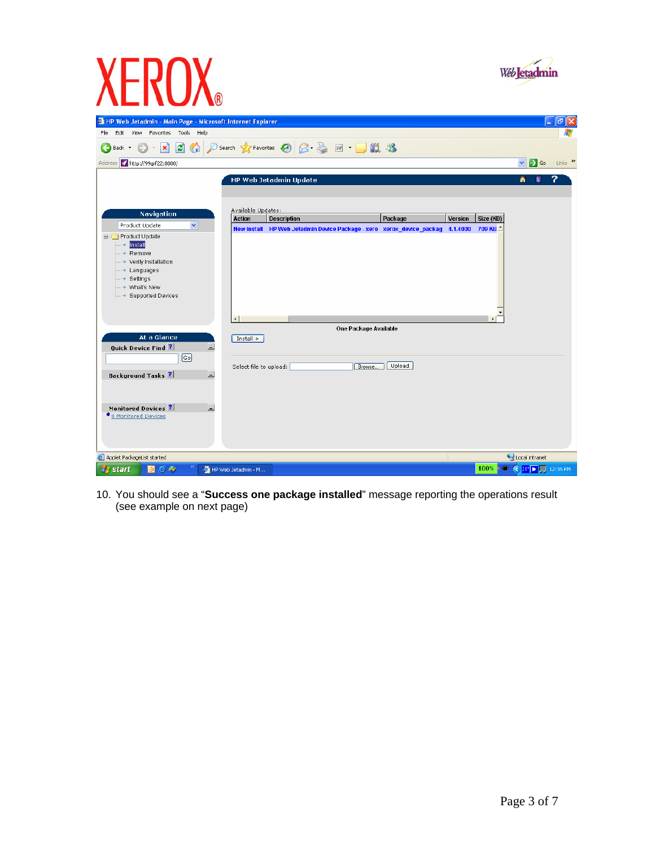

10. You should see a "**Success one package installed**" message reporting the operations result (see example on next page)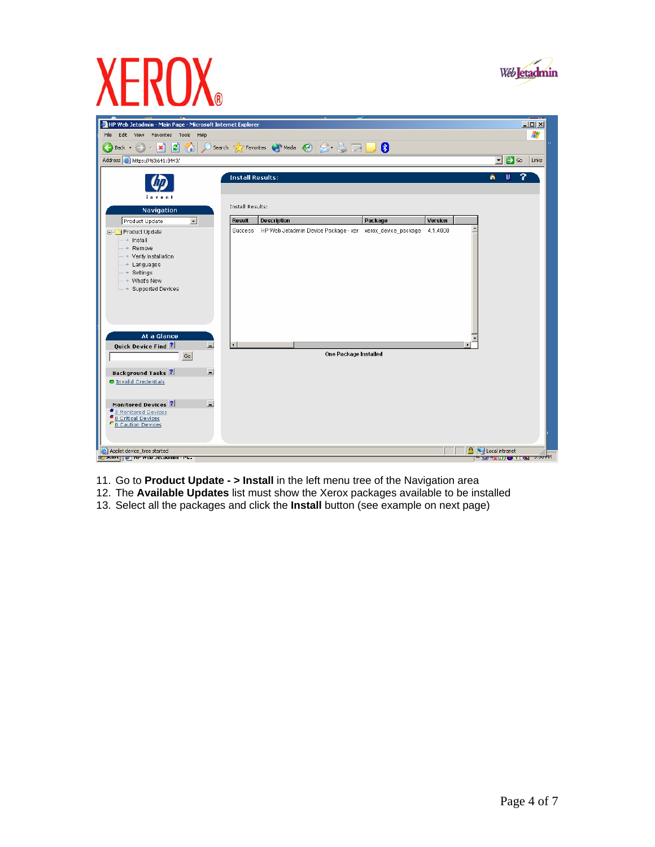

 $\overline{\phantom{a}}$ 





- 11. Go to **Product Update > Install** in the left menu tree of the Navigation area
- 12. The **Available Updates** list must show the Xerox packages available to be installed
- 13. Select all the packages and click the **Install** button (see example on next page)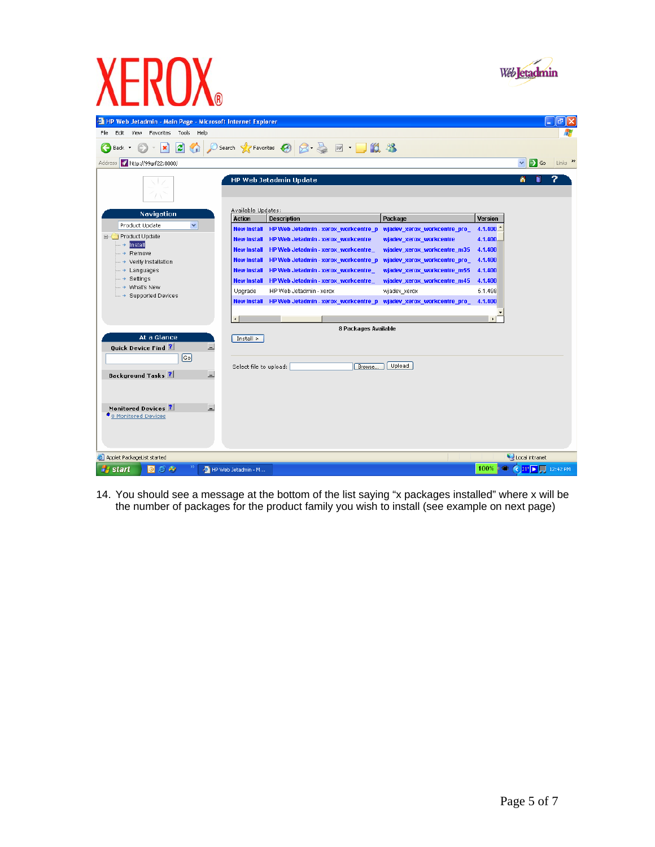

| XERUX                                                                                                                                                                                                                                                                                                                                                                                                                                                                                                                                                                                                                                                                                                                                                                                                                                                     |                                                                                                |
|-----------------------------------------------------------------------------------------------------------------------------------------------------------------------------------------------------------------------------------------------------------------------------------------------------------------------------------------------------------------------------------------------------------------------------------------------------------------------------------------------------------------------------------------------------------------------------------------------------------------------------------------------------------------------------------------------------------------------------------------------------------------------------------------------------------------------------------------------------------|------------------------------------------------------------------------------------------------|
| <b>THP Web Jetadmin - Main Page - Microsoft Internet Explorer</b><br>Help<br>File<br>Edit<br>View<br>Favorites<br>Tools<br><b>2 ⊙ Osearch ☆Favorites ④ ⊗ 忌 回 回 鎖 %</b><br>$ \mathbf{x} $<br>Back *<br>Address 1 http://99qrf22:8000/                                                                                                                                                                                                                                                                                                                                                                                                                                                                                                                                                                                                                      | $\vec{\mathbf{u}}$<br>$\mathbf{I}$<br>$\Rightarrow$ Go<br>Links $\mathbf{v}$<br>v              |
| HP Web Jetadmin Update<br>Available Updates:<br>Navigation<br><b>Action</b><br><b>Description</b><br>Package<br>$\checkmark$<br>Product Update<br><b>New Install</b><br>HP Web Jetadmin - xerox_workcentre_p<br>wjadev_xerox_workcentre_pro_<br>Product Update<br><b>New Install</b><br>HP Web Jetadmin - xerox_workcentre<br>wjadev_xerox_workcentre<br>Install<br>$\dots$ $\rightarrow$<br><b>New Install</b><br>HP Web Jetadmin - xerox_workcentre_<br>wjadev_xerox_workcentre_m35<br>Remove<br>$\rightarrow$<br><b>New Install</b><br>HP Web Jetadmin - xerox_workcentre_p<br>wjadev_xerox_workcentre_pro_<br>Verify Installation<br>Languages<br><b>New Install</b><br>HP Web Jetadmin - xerox_workcentre_<br>wjadev_xerox_workcentre_m55<br>- > Settings<br><b>New Install</b><br>HP Web Jetadmin - xerox workcentre<br>wjadev_xerox_workcentre_m45 | ⋒<br>n<br><b>Version</b><br>$4.1.400 -$<br>4.1.400<br>4.1.400<br>4.1.400<br>4.1.400<br>4.1.400 |
| → What's New<br>Upgrade<br>HP Web Jetadmin - xerox<br>wjadev_xerox<br>→ Supported Devices<br>HP Web Jetadmin - xerox workcentre p<br>wjadev_xerox_workcentre_pro_<br><b>New Install</b><br>8 Packages Available<br>At a Glance<br>Install<br><b>Quick Device Find ?</b><br>ш,<br>$\lceil$ Go $\rceil$<br>Upload<br>Select file to upload:<br>Browse.<br>E                                                                                                                                                                                                                                                                                                                                                                                                                                                                                                 | 5.1.498<br>4.1.400<br>$\left  \cdot \right $                                                   |
| <b>Background Tasks</b> ?<br>E<br>Monitored Devices ?<br>● 0 Monitored Devices<br>Applet PackageList started                                                                                                                                                                                                                                                                                                                                                                                                                                                                                                                                                                                                                                                                                                                                              | Local intranet                                                                                 |

14. You should see a message at the bottom of the list saying "x packages installed" where x will be the number of packages for the product family you wish to install (see example on next page)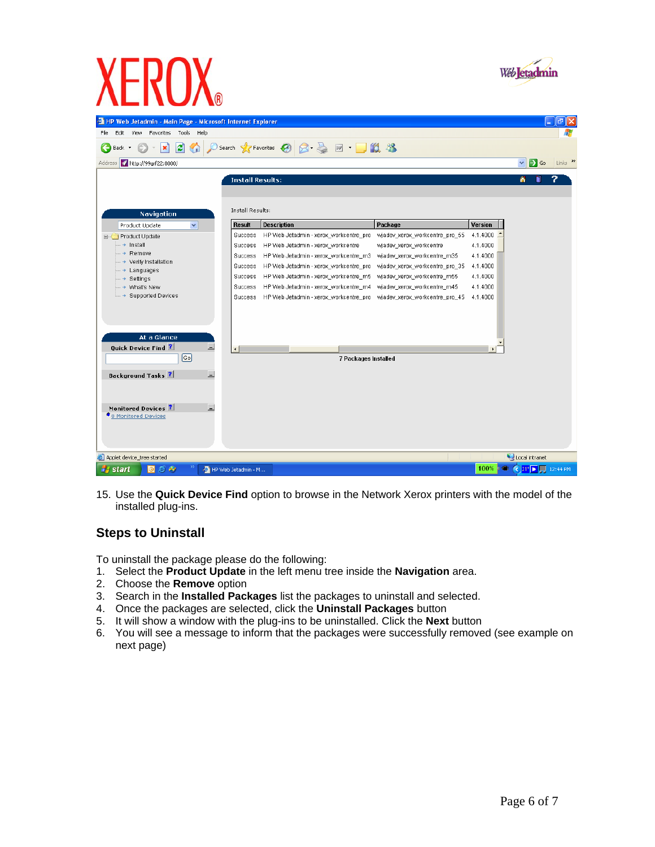

|                                                                   | <b>NB</b>                         |                         |                                                                         |                                |                |                                                   |                        |
|-------------------------------------------------------------------|-----------------------------------|-------------------------|-------------------------------------------------------------------------|--------------------------------|----------------|---------------------------------------------------|------------------------|
| <b>THP Web Jetadmin - Main Page - Microsoft Internet Explorer</b> |                                   |                         |                                                                         |                                |                |                                                   | $\mathbf{-}\mathbf{e}$ |
| View Favorites<br>File<br>Edit<br>Tools                           | Help                              |                         |                                                                         |                                |                |                                                   |                        |
| z <br>×<br>n<br>Back *                                            |                                   |                         |                                                                         |                                |                |                                                   |                        |
| Address 1 http://99grf22:8000/                                    |                                   |                         |                                                                         |                                |                | $\rightarrow$ Go<br>$\checkmark$                  | Links >>               |
|                                                                   |                                   | <b>Install Results:</b> |                                                                         |                                |                | ⋒<br>Π                                            |                        |
|                                                                   |                                   |                         |                                                                         |                                |                |                                                   |                        |
|                                                                   |                                   |                         |                                                                         |                                |                |                                                   |                        |
| Navigation                                                        |                                   | Install Results:        |                                                                         |                                |                |                                                   |                        |
| $\checkmark$<br>Product Update                                    | <b>Result</b>                     |                         | <b>Description</b>                                                      | Package                        | <b>Version</b> |                                                   |                        |
| Froduct Update                                                    | Success                           |                         | HP Web Jetadmin - xerox_workcentre_pro                                  | wjadev_xerox_workcentre_pro_55 | $4.1.4000$ $-$ |                                                   |                        |
| $\rightarrow$ Install                                             | Success                           |                         | HP Web Jetadmin - xerox_workcentre                                      | wjadev_xerox_workcentre        | 4.1.4000       |                                                   |                        |
| — → Remove<br>→ Verify Installation                               | Success                           |                         | HP Web Jetadmin - xerox_workcentre_m3                                   | wjadev_xerox_workcentre_m35    | 4.1.4000       |                                                   |                        |
| — → Languages                                                     | <b>Success</b>                    |                         | HP Web Jetadmin - xerox_workcentre_pro                                  | wjadev_xerox_workcentre_pro_35 | 4.1.4000       |                                                   |                        |
| — → Settings                                                      | <b>Success</b>                    |                         | HP Web Jetadmin - xerox_workcentre_m5                                   | wjadev_xerox_workcentre_m55    | 4.1.4000       |                                                   |                        |
| — → What's New                                                    | Success                           |                         | HP Web Jetadmin - xerox_workcentre_m4                                   | wjadev_xerox_workcentre_m45    | 4.1.4000       |                                                   |                        |
| $\rightarrow$ Supported Devices                                   | Success                           |                         | HP Web Jetadmin - xerox_workcentre_pro _ wjadev_xerox_workcentre_pro_45 |                                | 4.1.4000       |                                                   |                        |
|                                                                   |                                   |                         |                                                                         |                                |                |                                                   |                        |
|                                                                   |                                   |                         |                                                                         |                                |                |                                                   |                        |
| At a Glance                                                       |                                   |                         |                                                                         |                                |                |                                                   |                        |
| Quick Device Find ?                                               | 트                                 |                         |                                                                         |                                |                |                                                   |                        |
| $\lceil$ Go $\rceil$                                              |                                   |                         |                                                                         |                                |                |                                                   |                        |
|                                                                   |                                   |                         | 7 Packages Installed                                                    |                                |                |                                                   |                        |
| <b>Background Tasks</b> ?                                         | $\overline{\phantom{0}}$          |                         |                                                                         |                                |                |                                                   |                        |
|                                                                   |                                   |                         |                                                                         |                                |                |                                                   |                        |
|                                                                   |                                   |                         |                                                                         |                                |                |                                                   |                        |
| Monitored Devices ?                                               | $\overline{\phantom{0}}$          |                         |                                                                         |                                |                |                                                   |                        |
| ● 0 Monitored Devices                                             |                                   |                         |                                                                         |                                |                |                                                   |                        |
|                                                                   |                                   |                         |                                                                         |                                |                |                                                   |                        |
|                                                                   |                                   |                         |                                                                         |                                |                |                                                   |                        |
|                                                                   |                                   |                         |                                                                         |                                |                |                                                   |                        |
| Applet device_tree started                                        |                                   |                         |                                                                         |                                |                | Local intranet                                    |                        |
| <b>H</b> start<br>$\triangle$ $\triangle$<br>l©l                  | <sup>25</sup> HP Web Jetadmin - M |                         |                                                                         |                                | 100%           | $\bullet$ $\bullet$ 21° $\triangleright$ 12:44 PM |                        |

15. Use the **Quick Device Find** option to browse in the Network Xerox printers with the model of the installed plug-ins.

#### **Steps to Uninstall**

**XEROX** 

To uninstall the package please do the following:

- 1. Select the **Product Update** in the left menu tree inside the **Navigation** area.
- 2. Choose the **Remove** option
- 3. Search in the **Installed Packages** list the packages to uninstall and selected.
- 4. Once the packages are selected, click the **Uninstall Packages** button
- 5. It will show a window with the plug-ins to be uninstalled. Click the **Next** button
- 6. You will see a message to inform that the packages were successfully removed (see example on next page)